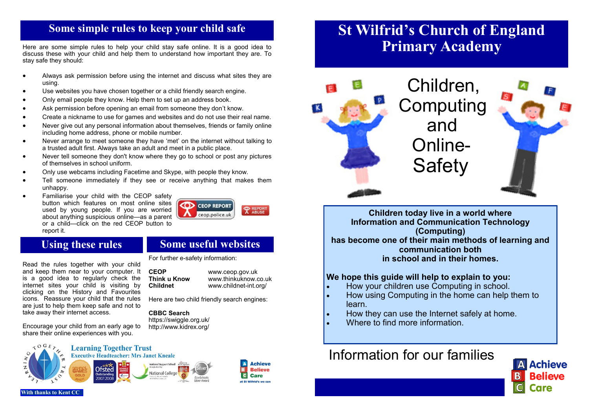# **Some simple rules to keep your child safe**

Here are some simple rules to help your child stay safe online. It is a good idea to discuss these with your child and help them to understand how important they are. To stay safe they should:

- Always ask permission before using the internet and discuss what sites they are using.
- Use websites you have chosen together or a child friendly search engine.
- Only email people they know. Help them to set up an address book.
- Ask permission before opening an email from someone they don't know.
- Create a nickname to use for games and websites and do not use their real name.
- Never give out any personal information about themselves, friends or family online including home address, phone or mobile number.
- Never arrange to meet someone they have 'met' on the internet without talking to a trusted adult first. Always take an adult and meet in a public place.
- Never tell someone they don't know where they go to school or post any pictures of themselves in school uniform.
- Only use webcams including Facetime and Skype, with people they know.
- Tell someone immediately if they see or receive anything that makes them unhappy.
- Familiarise your child with the CEOP safety button which features on most online sites used by young people. If you are worried about anything suspicious online—as a parent or a child—click on the red CEOP button to report it.



and keep them near to your computer. It is a good idea to regularly check the internet sites your child is visiting by clicking on the History and Favourites icons. Reassure your child that the rules are just to help them keep safe and not to

Encourage your child from an early age to share their online experiences with you.

take away their internet access.

# **Using these rules Some useful websites**

Read the rules together with your child For further e-safety information:

**CEOP** www.ceop.gov.uk<br> **Think u Know** www.thinkuknow.c **Think u Know Www.thinkuknow.co.uk<br>
<b>Childnet** WWW.childnet-int.org/ **Childnet** www.childnet-int.org/

> **Achieve Believe**

Care

Here are two child friendly search engines:

#### **CBBC Search**

https://swiggle.org.uk/ http://www.kidrex.org/



# **St Wilfrid's Church of England Primary Academy**



Computing and Online-**Safety** 

**Children today live in a world where Information and Communication Technology (Computing) has become one of their main methods of learning and communication both in school and in their homes.**

#### **We hope this guide will help to explain to you:**

- How your children use Computing in school.
- How using Computing in the home can help them to learn.
- How they can use the Internet safely at home.
- Where to find more information

# Information for our families